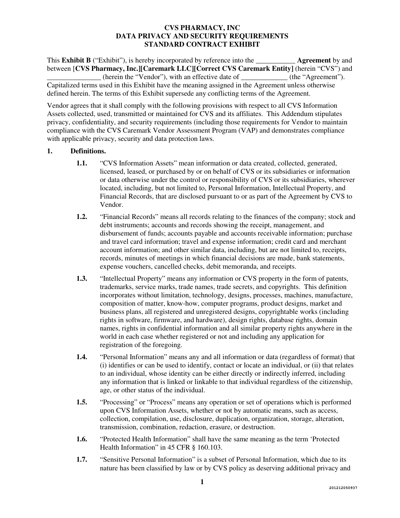This **Exhibit B** ("Exhibit"), is hereby incorporated by reference into the **Agreement** by and between [**CVS Pharmacy, Inc.][Caremark LLC][Correct CVS Caremark Entity]** (herein "CVS") and **\_\_\_\_\_\_\_\_\_\_\_\_\_\_\_** (herein the "Vendor"), with an effective date of **\_\_\_\_\_\_\_\_\_\_\_\_\_** (the "Agreement"). Capitalized terms used in this Exhibit have the meaning assigned in the Agreement unless otherwise defined herein. The terms of this Exhibit supersede any conflicting terms of the Agreement.

Vendor agrees that it shall comply with the following provisions with respect to all CVS Information Assets collected, used, transmitted or maintained for CVS and its affiliates. This Addendum stipulates privacy, confidentiality, and security requirements (including those requirements for Vendor to maintain compliance with the CVS Caremark Vendor Assessment Program (VAP) and demonstrates compliance with applicable privacy, security and data protection laws.

# **1. Definitions.**

- **1.1.** "CVS Information Assets" mean information or data created, collected, generated, licensed, leased, or purchased by or on behalf of CVS or its subsidiaries or information or data otherwise under the control or responsibility of CVS or its subsidiaries, wherever located, including, but not limited to, Personal Information, Intellectual Property, and Financial Records, that are disclosed pursuant to or as part of the Agreement by CVS to Vendor.
- **1.2.** "Financial Records" means all records relating to the finances of the company; stock and debt instruments; accounts and records showing the receipt, management, and disbursement of funds; accounts payable and accounts receivable information; purchase and travel card information; travel and expense information; credit card and merchant account information; and other similar data, including, but are not limited to, receipts, records, minutes of meetings in which financial decisions are made, bank statements, expense vouchers, cancelled checks, debit memoranda, and receipts.
- **1.3.** "Intellectual Property" means any information or CVS property in the form of patents, trademarks, service marks, trade names, trade secrets, and copyrights. This definition incorporates without limitation, technology, designs, processes, machines, manufacture, composition of matter, know-how, computer programs, product designs, market and business plans, all registered and unregistered designs, copyrightable works (including rights in software, firmware, and hardware), design rights, database rights, domain names, rights in confidential information and all similar property rights anywhere in the world in each case whether registered or not and including any application for registration of the foregoing.
- **1.4.** "Personal Information" means any and all information or data (regardless of format) that (i) identifies or can be used to identify, contact or locate an individual, or (ii) that relates to an individual, whose identity can be either directly or indirectly inferred, including any information that is linked or linkable to that individual regardless of the citizenship, age, or other status of the individual.
- **1.5.** "Processing" or "Process" means any operation or set of operations which is performed upon CVS Information Assets, whether or not by automatic means, such as access, collection, compilation, use, disclosure, duplication, organization, storage, alteration, transmission, combination, redaction, erasure, or destruction.
- **1.6.** "Protected Health Information" shall have the same meaning as the term 'Protected Health Information" in 45 CFR § 160.103.
- **1.7.** "Sensitive Personal Information" is a subset of Personal Information, which due to its nature has been classified by law or by CVS policy as deserving additional privacy and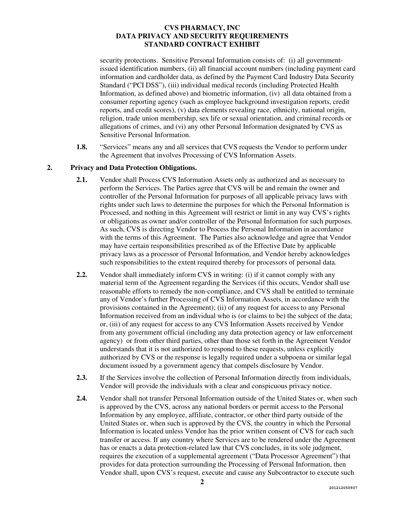security protections. Sensitive Personal Information consists of: (i) all governmentissued identification numbers, (ii) all financial account numbers (including payment card information and cardholder data, as defined by the Payment Card Industry Data Security Standard ("PCI DSS"), (iii) individual medical records (including Protected Health Information, as defined above) and biometric information, (iv) all data obtained from a consumer reporting agency (such as employee background investigation reports, credit reports, and credit scores), (v) data elements revealing race, ethnicity, national origin, religion, trade union membership, sex life or sexual orientation, and criminal records or allegations of crimes, and (vi) any other Personal Information designated by CVS as Sensitive Personal Information.

**1.8.** "Services" means any and all services that CVS requests the Vendor to perform under the Agreement that involves Processing of CVS Information Assets.

# **2. Privacy and Data Protection Obligations.**

- **2.1.** Vendor shall Process CVS Information Assets only as authorized and as necessary to perform the Services. The Parties agree that CVS will be and remain the owner and controller of the Personal Information for purposes of all applicable privacy laws with rights under such laws to determine the purposes for which the Personal Information is Processed, and nothing in this Agreement will restrict or limit in any way CVS's rights or obligations as owner and/or controller of the Personal Information for such purposes. As such, CVS is directing Vendor to Process the Personal Information in accordance with the terms of this Agreement. The Parties also acknowledge and agree that Vendor may have certain responsibilities prescribed as of the Effective Date by applicable privacy laws as a processor of Personal Information, and Vendor hereby acknowledges such responsibilities to the extent required thereby for processors of personal data.
- **2.2.** Vendor shall immediately inform CVS in writing: (i) if it cannot comply with any material term of the Agreement regarding the Services (if this occurs, Vendor shall use reasonable efforts to remedy the non-compliance, and CVS shall be entitled to terminate any of Vendor's further Processing of CVS Information Assets, in accordance with the provisions contained in the Agreement); (ii) of any request for access to any Personal Information received from an individual who is (or claims to be) the subject of the data; or, (iii) of any request for access to any CVS Information Assets received by Vendor from any government official (including any data protection agency or law enforcement agency) or from other third parties, other than those set forth in the Agreement Vendor understands that it is not authorized to respond to these requests, unless explicitly authorized by CVS or the response is legally required under a subpoena or similar legal document issued by a government agency that compels disclosure by Vendor.
- **2.3.** If the Services involve the collection of Personal Information directly from individuals, Vendor will provide the individuals with a clear and conspicuous privacy notice.
- **2.4.** Vendor shall not transfer Personal Information outside of the United States or, when such is approved by the CVS, across any national borders or permit access to the Personal Information by any employee, affiliate, contractor, or other third party outside of the United States or, when such is approved by the CVS, the country in which the Personal Information is located unless Vendor has the prior written consent of CVS for each such transfer or access. If any country where Services are to be rendered under the Agreement has or enacts a data protection-related law that CVS concludes, in its sole judgment, requires the execution of a supplemental agreement ("Data Processor Agreement") that provides for data protection surrounding the Processing of Personal Information, then Vendor shall, upon CVS's request, execute and cause any Subcontractor to execute such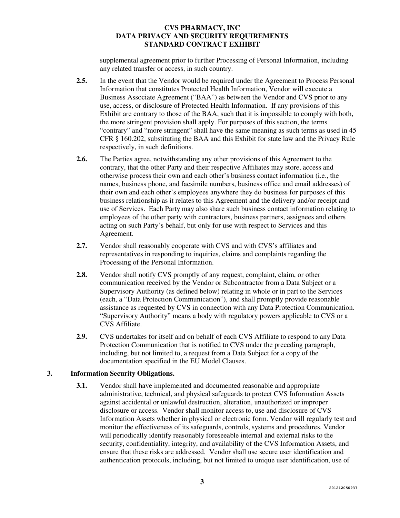supplemental agreement prior to further Processing of Personal Information, including any related transfer or access, in such country.

- **2.5.** In the event that the Vendor would be required under the Agreement to Process Personal Information that constitutes Protected Health Information, Vendor will execute a Business Associate Agreement ("BAA") as between the Vendor and CVS prior to any use, access, or disclosure of Protected Health Information. If any provisions of this Exhibit are contrary to those of the BAA, such that it is impossible to comply with both, the more stringent provision shall apply. For purposes of this section, the terms "contrary" and "more stringent" shall have the same meaning as such terms as used in 45 CFR § 160.202, substituting the BAA and this Exhibit for state law and the Privacy Rule respectively, in such definitions.
- **2.6.** The Parties agree, notwithstanding any other provisions of this Agreement to the contrary, that the other Party and their respective Affiliates may store, access and otherwise process their own and each other's business contact information (i.e., the names, business phone, and facsimile numbers, business office and email addresses) of their own and each other's employees anywhere they do business for purposes of this business relationship as it relates to this Agreement and the delivery and/or receipt and use of Services. Each Party may also share such business contact information relating to employees of the other party with contractors, business partners, assignees and others acting on such Party's behalf, but only for use with respect to Services and this Agreement.
- **2.7.** Vendor shall reasonably cooperate with CVS and with CVS's affiliates and representatives in responding to inquiries, claims and complaints regarding the Processing of the Personal Information.
- **2.8.** Vendor shall notify CVS promptly of any request, complaint, claim, or other communication received by the Vendor or Subcontractor from a Data Subject or a Supervisory Authority (as defined below) relating in whole or in part to the Services (each, a "Data Protection Communication"), and shall promptly provide reasonable assistance as requested by CVS in connection with any Data Protection Communication. "Supervisory Authority" means a body with regulatory powers applicable to CVS or a CVS Affiliate.
- **2.9.** CVS undertakes for itself and on behalf of each CVS Affiliate to respond to any Data Protection Communication that is notified to CVS under the preceding paragraph, including, but not limited to, a request from a Data Subject for a copy of the documentation specified in the EU Model Clauses.

#### **3. Information Security Obligations.**

**3.1.** Vendor shall have implemented and documented reasonable and appropriate administrative, technical, and physical safeguards to protect CVS Information Assets against accidental or unlawful destruction, alteration, unauthorized or improper disclosure or access. Vendor shall monitor access to, use and disclosure of CVS Information Assets whether in physical or electronic form. Vendor will regularly test and monitor the effectiveness of its safeguards, controls, systems and procedures. Vendor will periodically identify reasonably foreseeable internal and external risks to the security, confidentiality, integrity, and availability of the CVS Information Assets, and ensure that these risks are addressed. Vendor shall use secure user identification and authentication protocols, including, but not limited to unique user identification, use of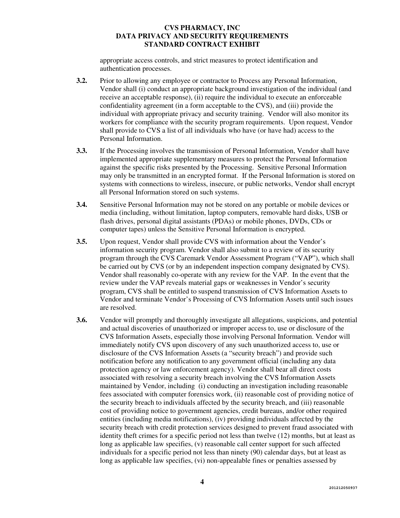appropriate access controls, and strict measures to protect identification and authentication processes.

- **3.2.** Prior to allowing any employee or contractor to Process any Personal Information, Vendor shall (i) conduct an appropriate background investigation of the individual (and receive an acceptable response), (ii) require the individual to execute an enforceable confidentiality agreement (in a form acceptable to the CVS), and (iii) provide the individual with appropriate privacy and security training. Vendor will also monitor its workers for compliance with the security program requirements. Upon request, Vendor shall provide to CVS a list of all individuals who have (or have had) access to the Personal Information.
- **3.3.** If the Processing involves the transmission of Personal Information, Vendor shall have implemented appropriate supplementary measures to protect the Personal Information against the specific risks presented by the Processing. Sensitive Personal Information may only be transmitted in an encrypted format. If the Personal Information is stored on systems with connections to wireless, insecure, or public networks, Vendor shall encrypt all Personal Information stored on such systems.
- **3.4.** Sensitive Personal Information may not be stored on any portable or mobile devices or media (including, without limitation, laptop computers, removable hard disks, USB or flash drives, personal digital assistants (PDAs) or mobile phones, DVDs, CDs or computer tapes) unless the Sensitive Personal Information is encrypted.
- **3.5.** Upon request, Vendor shall provide CVS with information about the Vendor's information security program. Vendor shall also submit to a review of its security program through the CVS Caremark Vendor Assessment Program ("VAP"), which shall be carried out by CVS (or by an independent inspection company designated by CVS). Vendor shall reasonably co-operate with any review for the VAP. In the event that the review under the VAP reveals material gaps or weaknesses in Vendor's security program, CVS shall be entitled to suspend transmission of CVS Information Assets to Vendor and terminate Vendor's Processing of CVS Information Assets until such issues are resolved.
- **3.6.** Vendor will promptly and thoroughly investigate all allegations, suspicions, and potential and actual discoveries of unauthorized or improper access to, use or disclosure of the CVS Information Assets, especially those involving Personal Information. Vendor will immediately notify CVS upon discovery of any such unauthorized access to, use or disclosure of the CVS Information Assets (a "security breach") and provide such notification before any notification to any government official (including any data protection agency or law enforcement agency). Vendor shall bear all direct costs associated with resolving a security breach involving the CVS Information Assets maintained by Vendor, including (i) conducting an investigation including reasonable fees associated with computer forensics work, (ii) reasonable cost of providing notice of the security breach to individuals affected by the security breach, and (iii) reasonable cost of providing notice to government agencies, credit bureaus, and/or other required entities (including media notifications), (iv) providing individuals affected by the security breach with credit protection services designed to prevent fraud associated with identity theft crimes for a specific period not less than twelve (12) months, but at least as long as applicable law specifies, (v) reasonable call center support for such affected individuals for a specific period not less than ninety (90) calendar days, but at least as long as applicable law specifies, (vi) non-appealable fines or penalties assessed by